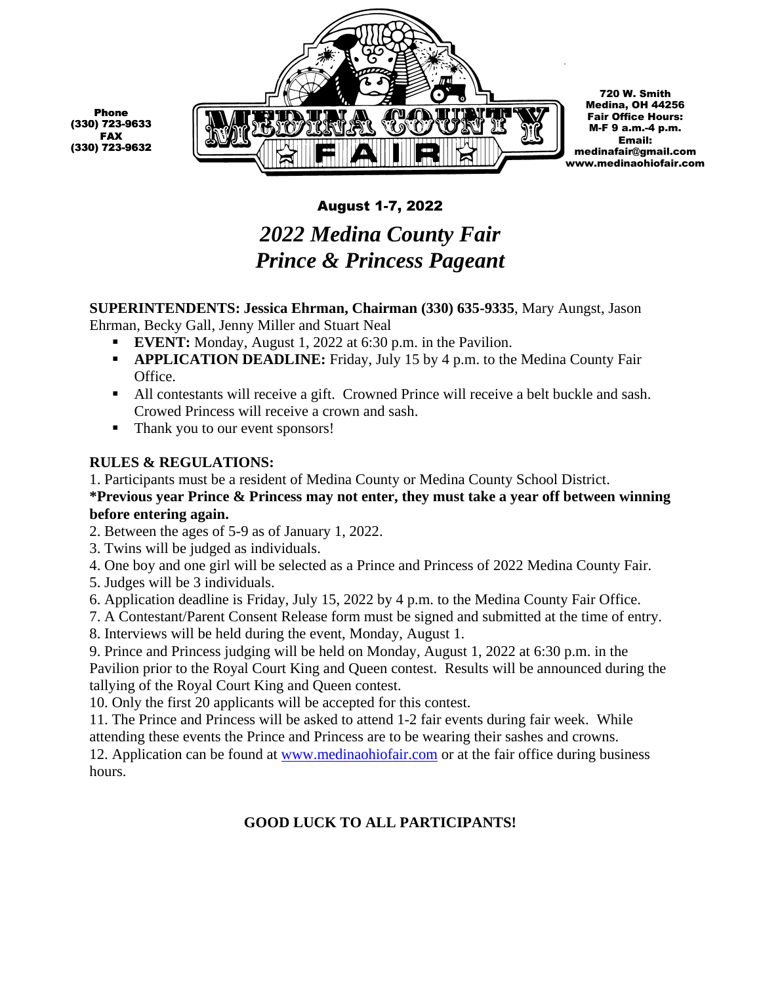

## August 1-7, 2022

# *2022 Medina County Fair Prince & Princess Pageant*

**SUPERINTENDENTS: Jessica Ehrman, Chairman (330) 635-9335**, Mary Aungst, Jason Ehrman, Becky Gall, Jenny Miller and Stuart Neal

- **EVENT:** Monday, August 1, 2022 at 6:30 p.m. in the Pavilion.
- **APPLICATION DEADLINE:** Friday, July 15 by 4 p.m. to the Medina County Fair Office.
- All contestants will receive a gift. Crowned Prince will receive a belt buckle and sash. Crowed Princess will receive a crown and sash.
- Thank you to our event sponsors!

#### **RULES & REGULATIONS:**

1. Participants must be a resident of Medina County or Medina County School District. **\*Previous year Prince & Princess may not enter, they must take a year off between winning before entering again.**

2. Between the ages of 5-9 as of January 1, 2022.

3. Twins will be judged as individuals.

4. One boy and one girl will be selected as a Prince and Princess of 2022 Medina County Fair.

5. Judges will be 3 individuals.

- 6. Application deadline is Friday, July 15, 2022 by 4 p.m. to the Medina County Fair Office.
- 7. A Contestant/Parent Consent Release form must be signed and submitted at the time of entry.

8. Interviews will be held during the event, Monday, August 1.

9. Prince and Princess judging will be held on Monday, August 1, 2022 at 6:30 p.m. in the Pavilion prior to the Royal Court King and Queen contest. Results will be announced during the tallying of the Royal Court King and Queen contest.

10. Only the first 20 applicants will be accepted for this contest.

11. The Prince and Princess will be asked to attend 1-2 fair events during fair week. While attending these events the Prince and Princess are to be wearing their sashes and crowns.

12. Application can be found at [www.medinaohiofair.com](http://www.medinaohiofair.com/) or at the fair office during business hours.

### **GOOD LUCK TO ALL PARTICIPANTS!**